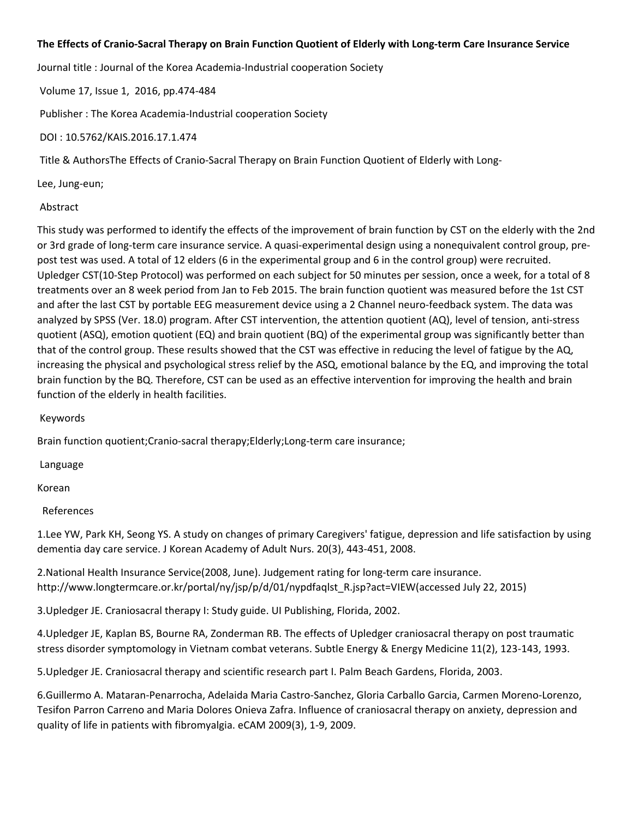## **The Effects of Cranio‐Sacral Therapy on Brain Function Quotient of Elderly with Long‐term Care Insurance Service**

Journal title : Journal of the Korea Academia‐Industrial cooperation Society

Volume 17, Issue 1, 2016, pp.474‐484

Publisher : The Korea Academia‐Industrial cooperation Society

DOI : 10.5762/KAIS.2016.17.1.474

Title & AuthorsThe Effects of Cranio‐Sacral Therapy on Brain Function Quotient of Elderly with Long‐

Lee, Jung‐eun;

## Abstract

This study was performed to identify the effects of the improvement of brain function by CST on the elderly with the 2nd or 3rd grade of long‐term care insurance service. A quasi‐experimental design using a nonequivalent control group, pre‐ post test was used. A total of 12 elders (6 in the experimental group and 6 in the control group) were recruited. Upledger CST(10‐Step Protocol) was performed on each subject for 50 minutes per session, once a week, for a total of 8 treatments over an 8 week period from Jan to Feb 2015. The brain function quotient was measured before the 1st CST and after the last CST by portable EEG measurement device using a 2 Channel neuro-feedback system. The data was analyzed by SPSS (Ver. 18.0) program. After CST intervention, the attention quotient (AQ), level of tension, anti-stress quotient (ASQ), emotion quotient (EQ) and brain quotient (BQ) of the experimental group was significantly better than that of the control group. These results showed that the CST was effective in reducing the level of fatigue by the AQ, increasing the physical and psychological stress relief by the ASQ, emotional balance by the EQ, and improving the total brain function by the BQ. Therefore, CST can be used as an effective intervention for improving the health and brain function of the elderly in health facilities.

Keywords

Brain function quotient;Cranio-sacral therapy;Elderly;Long-term care insurance;

Language

Korean

References

1.Lee YW, Park KH, Seong YS. A study on changes of primary Caregivers' fatigue, depression and life satisfaction by using dementia day care service. J Korean Academy of Adult Nurs. 20(3), 443‐451, 2008.

2.National Health Insurance Service(2008, June). Judgement rating for long‐term care insurance. http://www.longtermcare.or.kr/portal/ny/jsp/p/d/01/nypdfaqlst\_R.jsp?act=VIEW(accessed July 22, 2015)

3.Upledger JE. Craniosacral therapy I: Study guide. UI Publishing, Florida, 2002.

4.Upledger JE, Kaplan BS, Bourne RA, Zonderman RB. The effects of Upledger craniosacral therapy on post traumatic stress disorder symptomology in Vietnam combat veterans. Subtle Energy & Energy Medicine 11(2), 123‐143, 1993.

5.Upledger JE. Craniosacral therapy and scientific research part I. Palm Beach Gardens, Florida, 2003.

6.Guillermo A. Mataran‐Penarrocha, Adelaida Maria Castro‐Sanchez, Gloria Carballo Garcia, Carmen Moreno‐Lorenzo, Tesifon Parron Carreno and Maria Dolores Onieva Zafra. Influence of craniosacral therapy on anxiety, depression and quality of life in patients with fibromyalgia. eCAM 2009(3), 1‐9, 2009.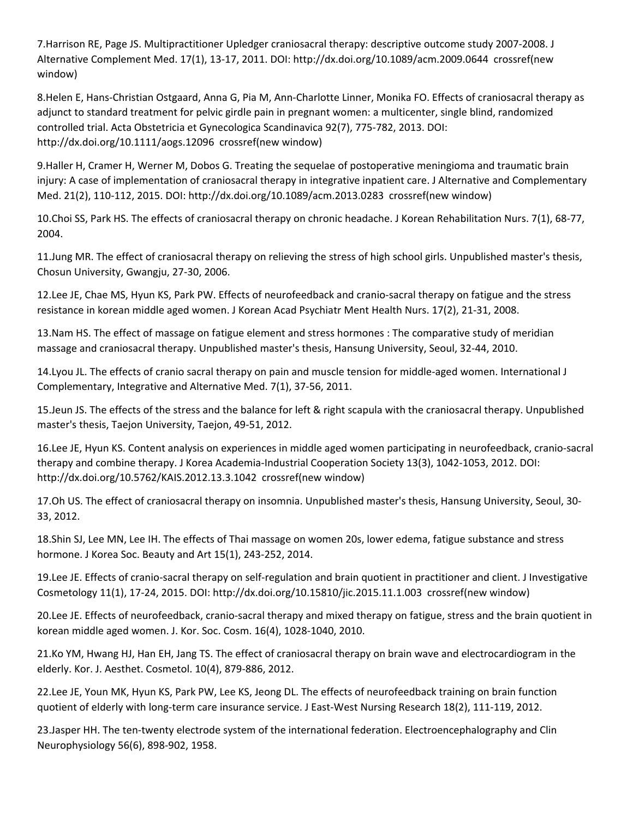7.Harrison RE, Page JS. Multipractitioner Upledger craniosacral therapy: descriptive outcome study 2007‐2008. J Alternative Complement Med. 17(1), 13‐17, 2011. DOI: http://dx.doi.org/10.1089/acm.2009.0644 crossref(new window)

8.Helen E, Hans‐Christian Ostgaard, Anna G, Pia M, Ann‐Charlotte Linner, Monika FO. Effects of craniosacral therapy as adjunct to standard treatment for pelvic girdle pain in pregnant women: a multicenter, single blind, randomized controlled trial. Acta Obstetricia et Gynecologica Scandinavica 92(7), 775‐782, 2013. DOI: http://dx.doi.org/10.1111/aogs.12096 crossref(new window)

9.Haller H, Cramer H, Werner M, Dobos G. Treating the sequelae of postoperative meningioma and traumatic brain injury: A case of implementation of craniosacral therapy in integrative inpatient care. J Alternative and Complementary Med. 21(2), 110‐112, 2015. DOI: http://dx.doi.org/10.1089/acm.2013.0283 crossref(new window)

10.Choi SS, Park HS. The effects of craniosacral therapy on chronic headache. J Korean Rehabilitation Nurs. 7(1), 68‐77, 2004.

11.Jung MR. The effect of craniosacral therapy on relieving the stress of high school girls. Unpublished master's thesis, Chosun University, Gwangju, 27‐30, 2006.

12.Lee JE, Chae MS, Hyun KS, Park PW. Effects of neurofeedback and cranio‐sacral therapy on fatigue and the stress resistance in korean middle aged women. J Korean Acad Psychiatr Ment Health Nurs. 17(2), 21‐31, 2008.

13.Nam HS. The effect of massage on fatigue element and stress hormones : The comparative study of meridian massage and craniosacral therapy. Unpublished master's thesis, Hansung University, Seoul, 32‐44, 2010.

14.Lyou JL. The effects of cranio sacral therapy on pain and muscle tension for middle‐aged women. International J Complementary, Integrative and Alternative Med. 7(1), 37‐56, 2011.

15.Jeun JS. The effects of the stress and the balance for left & right scapula with the craniosacral therapy. Unpublished master's thesis, Taejon University, Taejon, 49‐51, 2012.

16.Lee JE, Hyun KS. Content analysis on experiences in middle aged women participating in neurofeedback, cranio‐sacral therapy and combine therapy. J Korea Academia‐Industrial Cooperation Society 13(3), 1042‐1053, 2012. DOI: http://dx.doi.org/10.5762/KAIS.2012.13.3.1042 crossref(new window)

17.Oh US. The effect of craniosacral therapy on insomnia. Unpublished master's thesis, Hansung University, Seoul, 30‐ 33, 2012.

18.Shin SJ, Lee MN, Lee IH. The effects of Thai massage on women 20s, lower edema, fatigue substance and stress hormone. J Korea Soc. Beauty and Art 15(1), 243‐252, 2014.

19.Lee JE. Effects of cranio-sacral therapy on self-regulation and brain quotient in practitioner and client. J Investigative Cosmetology 11(1), 17‐24, 2015. DOI: http://dx.doi.org/10.15810/jic.2015.11.1.003 crossref(new window)

20.Lee JE. Effects of neurofeedback, cranio‐sacral therapy and mixed therapy on fatigue, stress and the brain quotient in korean middle aged women. J. Kor. Soc. Cosm. 16(4), 1028‐1040, 2010.

21.Ko YM, Hwang HJ, Han EH, Jang TS. The effect of craniosacral therapy on brain wave and electrocardiogram in the elderly. Kor. J. Aesthet. Cosmetol. 10(4), 879‐886, 2012.

22.Lee JE, Youn MK, Hyun KS, Park PW, Lee KS, Jeong DL. The effects of neurofeedback training on brain function quotient of elderly with long‐term care insurance service. J East‐West Nursing Research 18(2), 111‐119, 2012.

23.Jasper HH. The ten‐twenty electrode system of the international federation. Electroencephalography and Clin Neurophysiology 56(6), 898‐902, 1958.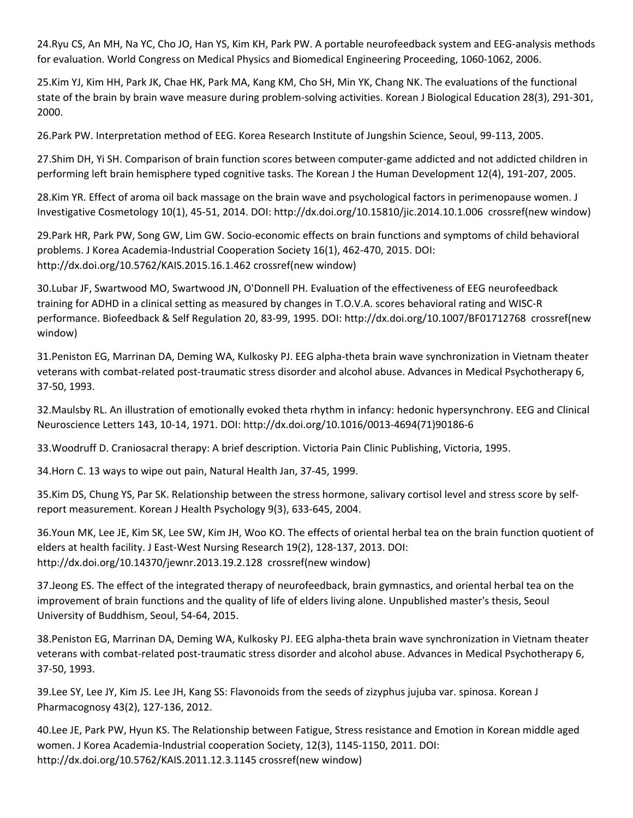24.Ryu CS, An MH, Na YC, Cho JO, Han YS, Kim KH, Park PW. A portable neurofeedback system and EEG‐analysis methods for evaluation. World Congress on Medical Physics and Biomedical Engineering Proceeding, 1060-1062, 2006.

25.Kim YJ, Kim HH, Park JK, Chae HK, Park MA, Kang KM, Cho SH, Min YK, Chang NK. The evaluations of the functional state of the brain by brain wave measure during problem‐solving activities. Korean J Biological Education 28(3), 291‐301, 2000.

26.Park PW. Interpretation method of EEG. Korea Research Institute of Jungshin Science, Seoul, 99‐113, 2005.

27.Shim DH, Yi SH. Comparison of brain function scores between computer‐game addicted and not addicted children in performing left brain hemisphere typed cognitive tasks. The Korean J the Human Development 12(4), 191‐207, 2005.

28.Kim YR. Effect of aroma oil back massage on the brain wave and psychological factors in perimenopause women. J Investigative Cosmetology 10(1), 45‐51, 2014. DOI: http://dx.doi.org/10.15810/jic.2014.10.1.006 crossref(new window)

29.Park HR, Park PW, Song GW, Lim GW. Socio‐economic effects on brain functions and symptoms of child behavioral problems. J Korea Academia-Industrial Cooperation Society 16(1), 462-470, 2015. DOI: http://dx.doi.org/10.5762/KAIS.2015.16.1.462 crossref(new window)

30.Lubar JF, Swartwood MO, Swartwood JN, O'Donnell PH. Evaluation of the effectiveness of EEG neurofeedback training for ADHD in a clinical setting as measured by changes in T.O.V.A. scores behavioral rating and WISC‐R performance. Biofeedback & Self Regulation 20, 83‐99, 1995. DOI: http://dx.doi.org/10.1007/BF01712768 crossref(new window)

31.Peniston EG, Marrinan DA, Deming WA, Kulkosky PJ. EEG alpha‐theta brain wave synchronization in Vietnam theater veterans with combat‐related post‐traumatic stress disorder and alcohol abuse. Advances in Medical Psychotherapy 6, 37‐50, 1993.

32.Maulsby RL. An illustration of emotionally evoked theta rhythm in infancy: hedonic hypersynchrony. EEG and Clinical Neuroscience Letters 143, 10‐14, 1971. DOI: http://dx.doi.org/10.1016/0013‐4694(71)90186‐6

33.Woodruff D. Craniosacral therapy: A brief description. Victoria Pain Clinic Publishing, Victoria, 1995.

34.Horn C. 13 ways to wipe out pain, Natural Health Jan, 37‐45, 1999.

35.Kim DS, Chung YS, Par SK. Relationship between the stress hormone, salivary cortisol level and stress score by self‐ report measurement. Korean J Health Psychology 9(3), 633‐645, 2004.

36.Youn MK, Lee JE, Kim SK, Lee SW, Kim JH, Woo KO. The effects of oriental herbal tea on the brain function quotient of elders at health facility. J East‐West Nursing Research 19(2), 128‐137, 2013. DOI: http://dx.doi.org/10.14370/jewnr.2013.19.2.128 crossref(new window)

37.Jeong ES. The effect of the integrated therapy of neurofeedback, brain gymnastics, and oriental herbal tea on the improvement of brain functions and the quality of life of elders living alone. Unpublished master's thesis, Seoul University of Buddhism, Seoul, 54‐64, 2015.

38.Peniston EG, Marrinan DA, Deming WA, Kulkosky PJ. EEG alpha‐theta brain wave synchronization in Vietnam theater veterans with combat‐related post‐traumatic stress disorder and alcohol abuse. Advances in Medical Psychotherapy 6, 37‐50, 1993.

39.Lee SY, Lee JY, Kim JS. Lee JH, Kang SS: Flavonoids from the seeds of zizyphus jujuba var. spinosa. Korean J Pharmacognosy 43(2), 127‐136, 2012.

40.Lee JE, Park PW, Hyun KS. The Relationship between Fatigue, Stress resistance and Emotion in Korean middle aged women. J Korea Academia-Industrial cooperation Society, 12(3), 1145-1150, 2011. DOI: http://dx.doi.org/10.5762/KAIS.2011.12.3.1145 crossref(new window)